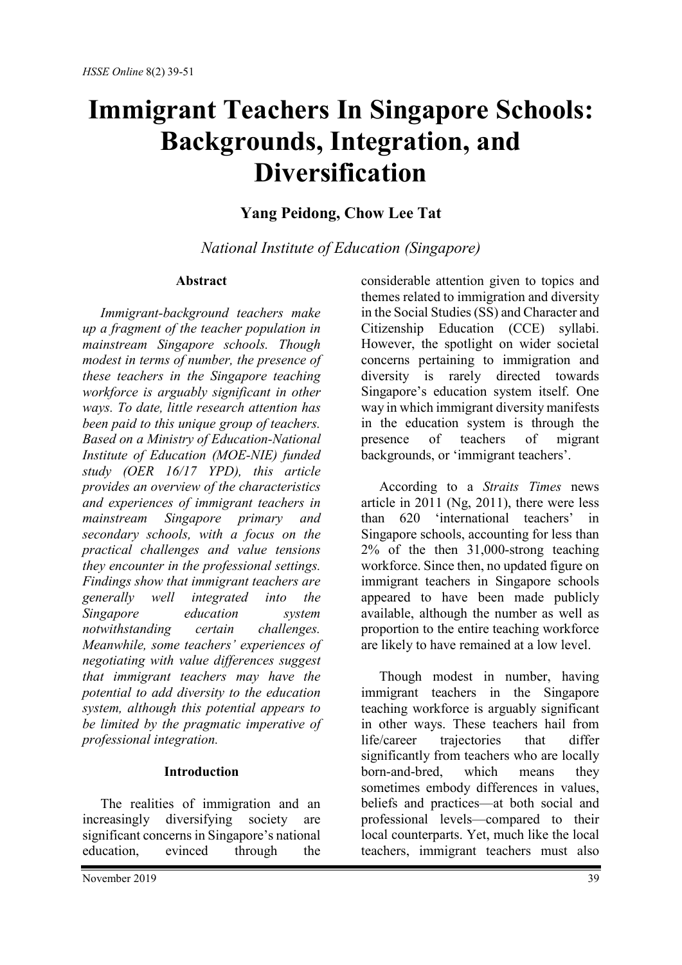# **Immigrant Teachers In Singapore Schools: Backgrounds, Integration, and Diversification**

## **Yang Peidong, Chow Lee Tat**

*National Institute of Education (Singapore)*

## **Abstract**

*Immigrant-background teachers make up a fragment of the teacher population in mainstream Singapore schools. Though modest in terms of number, the presence of these teachers in the Singapore teaching workforce is arguably significant in other ways. To date, little research attention has been paid to this unique group of teachers. Based on a Ministry of Education-National Institute of Education (MOE-NIE) funded study (OER 16/17 YPD), this article provides an overview of the characteristics and experiences of immigrant teachers in mainstream Singapore primary and secondary schools, with a focus on the practical challenges and value tensions they encounter in the professional settings. Findings show that immigrant teachers are generally well integrated into the Singapore education system notwithstanding certain challenges. Meanwhile, some teachers' experiences of negotiating with value differences suggest that immigrant teachers may have the potential to add diversity to the education system, although this potential appears to be limited by the pragmatic imperative of professional integration.*

## **Introduction**

The realities of immigration and an increasingly diversifying society are significant concerns in Singapore's national education, evinced through the considerable attention given to topics and themes related to immigration and diversity in the Social Studies (SS) and Character and Citizenship Education (CCE) syllabi. However, the spotlight on wider societal concerns pertaining to immigration and diversity is rarely directed towards Singapore's education system itself. One way in which immigrant diversity manifests in the education system is through the presence of teachers of migrant backgrounds, or 'immigrant teachers'.

According to a *Straits Times* news article in 2011 (Ng, 2011), there were less than 620 'international teachers' in Singapore schools, accounting for less than 2% of the then 31,000-strong teaching workforce. Since then, no updated figure on immigrant teachers in Singapore schools appeared to have been made publicly available, although the number as well as proportion to the entire teaching workforce are likely to have remained at a low level.

Though modest in number, having immigrant teachers in the Singapore teaching workforce is arguably significant in other ways. These teachers hail from life/career trajectories that differ significantly from teachers who are locally born-and-bred, which means they sometimes embody differences in values, beliefs and practices—at both social and professional levels—compared to their local counterparts. Yet, much like the local teachers, immigrant teachers must also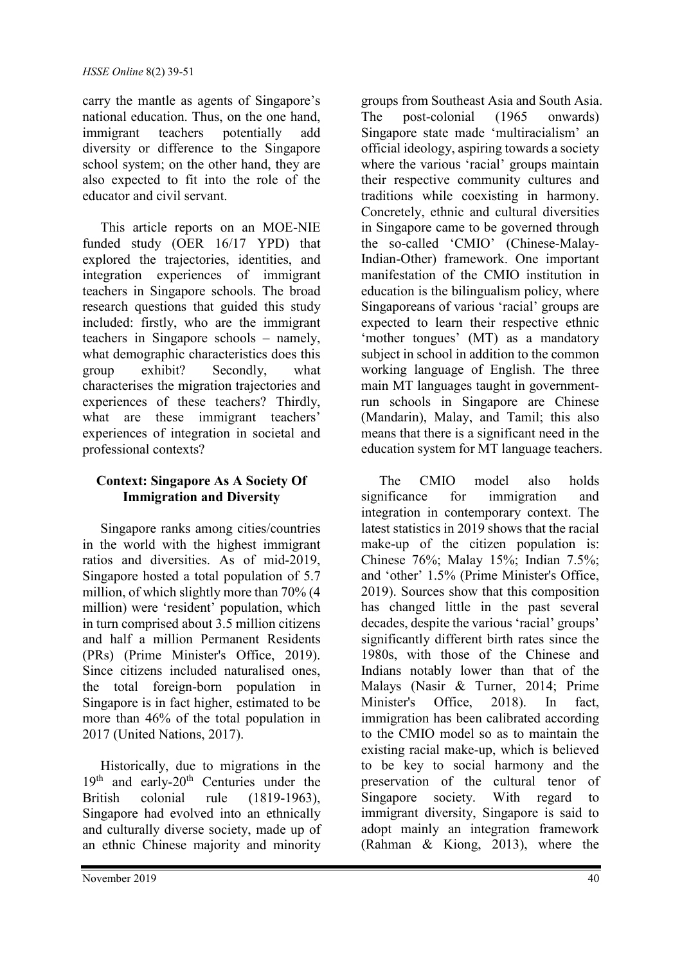carry the mantle as agents of Singapore's national education. Thus, on the one hand, immigrant teachers potentially add diversity or difference to the Singapore school system; on the other hand, they are also expected to fit into the role of the educator and civil servant.

This article reports on an MOE-NIE funded study (OER 16/17 YPD) that explored the trajectories, identities, and integration experiences of immigrant teachers in Singapore schools. The broad research questions that guided this study included: firstly, who are the immigrant teachers in Singapore schools – namely, what demographic characteristics does this group exhibit? Secondly, what characterises the migration trajectories and experiences of these teachers? Thirdly, what are these immigrant teachers' experiences of integration in societal and professional contexts?

## **Context: Singapore As A Society Of Immigration and Diversity**

Singapore ranks among cities/countries in the world with the highest immigrant ratios and diversities. As of mid-2019, Singapore hosted a total population of 5.7 million, of which slightly more than 70% (4 million) were 'resident' population, which in turn comprised about 3.5 million citizens and half a million Permanent Residents (PRs) (Prime Minister's Office, 2019). Since citizens included naturalised ones, the total foreign-born population in Singapore is in fact higher, estimated to be more than 46% of the total population in 2017 (United Nations, 2017).

Historically, due to migrations in the 19<sup>th</sup> and early-20<sup>th</sup> Centuries under the British colonial rule (1819-1963), Singapore had evolved into an ethnically and culturally diverse society, made up of an ethnic Chinese majority and minority groups from Southeast Asia and South Asia. The post-colonial (1965 onwards) Singapore state made 'multiracialism' an official ideology, aspiring towards a society where the various 'racial' groups maintain their respective community cultures and traditions while coexisting in harmony. Concretely, ethnic and cultural diversities in Singapore came to be governed through the so-called 'CMIO' (Chinese-Malay-Indian-Other) framework. One important manifestation of the CMIO institution in education is the bilingualism policy, where Singaporeans of various 'racial' groups are expected to learn their respective ethnic 'mother tongues' (MT) as a mandatory subject in school in addition to the common working language of English. The three main MT languages taught in governmentrun schools in Singapore are Chinese (Mandarin), Malay, and Tamil; this also means that there is a significant need in the education system for MT language teachers.

The CMIO model also holds significance for immigration and integration in contemporary context. The latest statistics in 2019 shows that the racial make-up of the citizen population is: Chinese 76%; Malay 15%; Indian 7.5%; and 'other' 1.5% (Prime Minister's Office, 2019). Sources show that this composition has changed little in the past several decades, despite the various 'racial' groups' significantly different birth rates since the 1980s, with those of the Chinese and Indians notably lower than that of the Malays (Nasir & Turner, 2014; Prime Minister's Office, 2018). In fact, immigration has been calibrated according to the CMIO model so as to maintain the existing racial make-up, which is believed to be key to social harmony and the preservation of the cultural tenor of Singapore society. With regard to immigrant diversity, Singapore is said to adopt mainly an integration framework (Rahman & Kiong, 2013), where the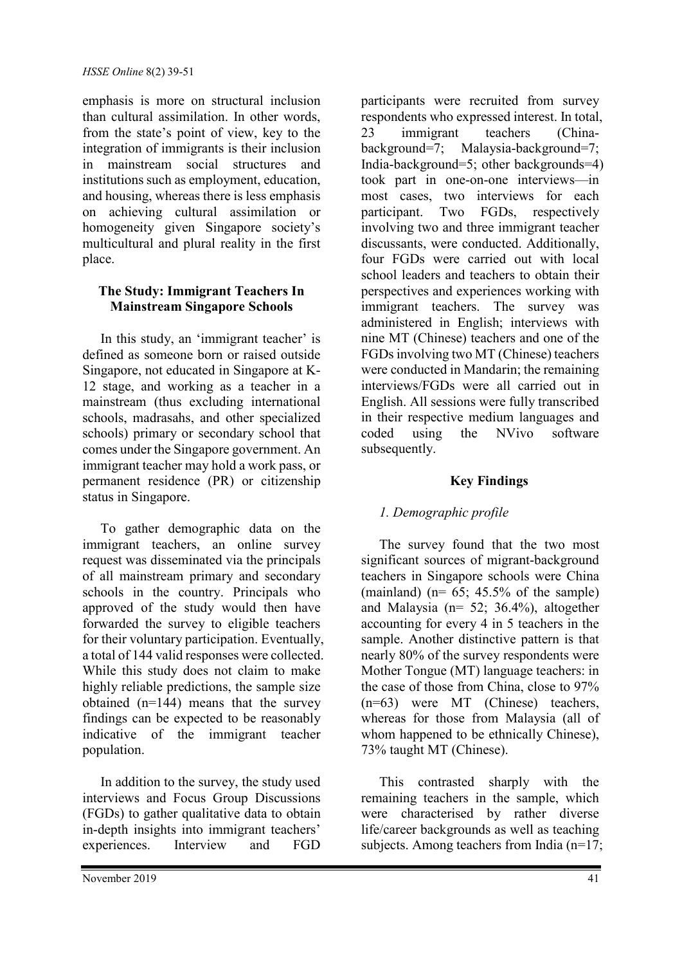emphasis is more on structural inclusion than cultural assimilation. In other words, from the state's point of view, key to the integration of immigrants is their inclusion in mainstream social structures and institutions such as employment, education, and housing, whereas there is less emphasis on achieving cultural assimilation or homogeneity given Singapore society's multicultural and plural reality in the first place.

## **The Study: Immigrant Teachers In Mainstream Singapore Schools**

In this study, an 'immigrant teacher' is defined as someone born or raised outside Singapore, not educated in Singapore at K-12 stage, and working as a teacher in a mainstream (thus excluding international schools, madrasahs, and other specialized schools) primary or secondary school that comes under the Singapore government. An immigrant teacher may hold a work pass, or permanent residence (PR) or citizenship status in Singapore.

To gather demographic data on the immigrant teachers, an online survey request was disseminated via the principals of all mainstream primary and secondary schools in the country. Principals who approved of the study would then have forwarded the survey to eligible teachers for their voluntary participation. Eventually, a total of 144 valid responses were collected. While this study does not claim to make highly reliable predictions, the sample size obtained (n=144) means that the survey findings can be expected to be reasonably indicative of the immigrant teacher population.

In addition to the survey, the study used interviews and Focus Group Discussions (FGDs) to gather qualitative data to obtain in-depth insights into immigrant teachers' experiences. Interview and FGD

participants were recruited from survey respondents who expressed interest. In total, 23 immigrant teachers (Chinabackground=7; Malaysia-background=7; India-background=5; other backgrounds=4) took part in one-on-one interviews—in most cases, two interviews for each participant. Two FGDs, respectively involving two and three immigrant teacher discussants, were conducted. Additionally, four FGDs were carried out with local school leaders and teachers to obtain their perspectives and experiences working with immigrant teachers. The survey was administered in English; interviews with nine MT (Chinese) teachers and one of the FGDs involving two MT (Chinese) teachers were conducted in Mandarin; the remaining interviews/FGDs were all carried out in English. All sessions were fully transcribed in their respective medium languages and coded using the NVivo software subsequently.

## **Key Findings**

## *1. Demographic profile*

The survey found that the two most significant sources of migrant-background teachers in Singapore schools were China (mainland) ( $n= 65$ ; 45.5% of the sample) and Malaysia (n= 52; 36.4%), altogether accounting for every 4 in 5 teachers in the sample. Another distinctive pattern is that nearly 80% of the survey respondents were Mother Tongue (MT) language teachers: in the case of those from China, close to 97% (n=63) were MT (Chinese) teachers, whereas for those from Malaysia (all of whom happened to be ethnically Chinese), 73% taught MT (Chinese).

This contrasted sharply with the remaining teachers in the sample, which were characterised by rather diverse life/career backgrounds as well as teaching subjects. Among teachers from India (n=17;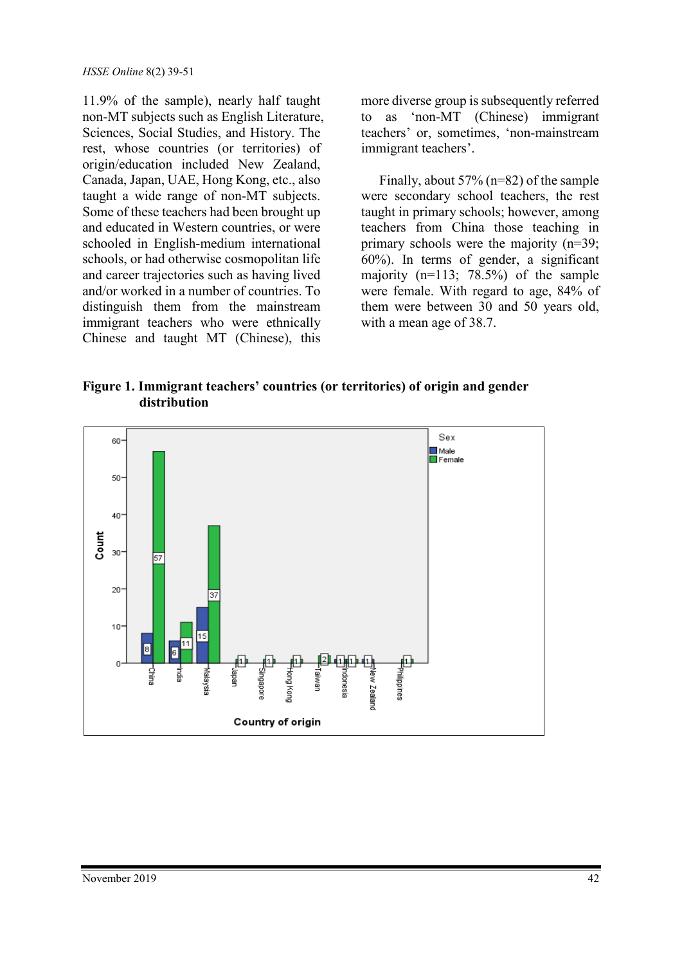11.9% of the sample), nearly half taught non-MT subjects such as English Literature, Sciences, Social Studies, and History. The rest, whose countries (or territories) of origin/education included New Zealand, Canada, Japan, UAE, Hong Kong, etc., also taught a wide range of non-MT subjects. Some of these teachers had been brought up and educated in Western countries, or were schooled in English-medium international schools, or had otherwise cosmopolitan life and career trajectories such as having lived and/or worked in a number of countries. To distinguish them from the mainstream immigrant teachers who were ethnically Chinese and taught MT (Chinese), this

more diverse group is subsequently referred to as 'non-MT (Chinese) immigrant teachers' or, sometimes, 'non-mainstream immigrant teachers'.

Finally, about 57% (n=82) of the sample were secondary school teachers, the rest taught in primary schools; however, among teachers from China those teaching in primary schools were the majority (n=39; 60%). In terms of gender, a significant majority (n=113; 78.5%) of the sample were female. With regard to age, 84% of them were between 30 and 50 years old, with a mean age of 38.7.

**Figure 1. Immigrant teachers' countries (or territories) of origin and gender distribution**

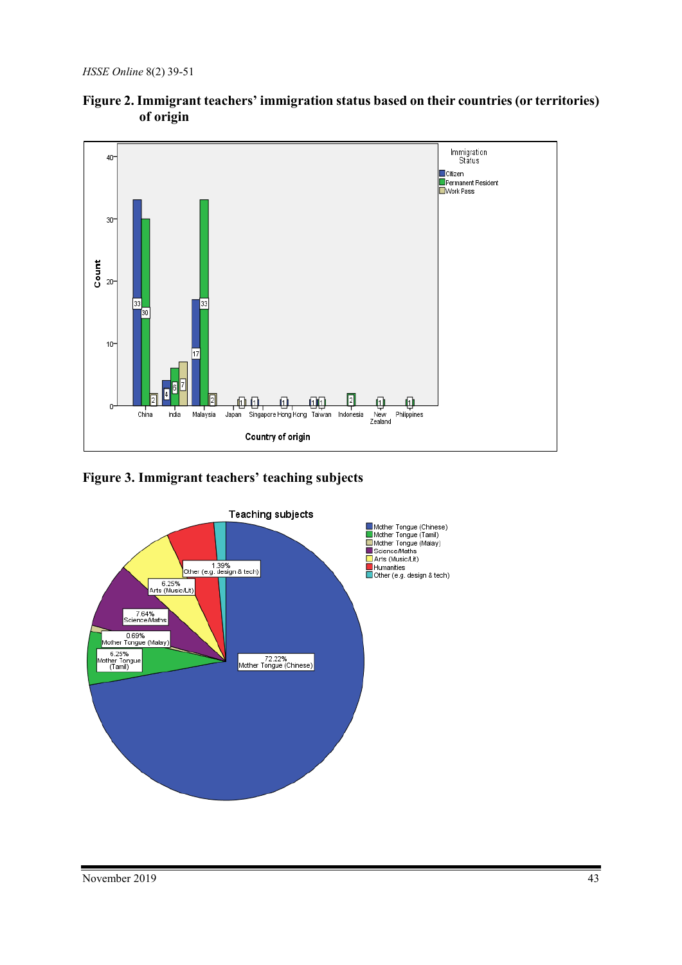

## **Figure 2. Immigrant teachers' immigration status based on their countries (or territories) of origin**

## **Figure 3. Immigrant teachers' teaching subjects**

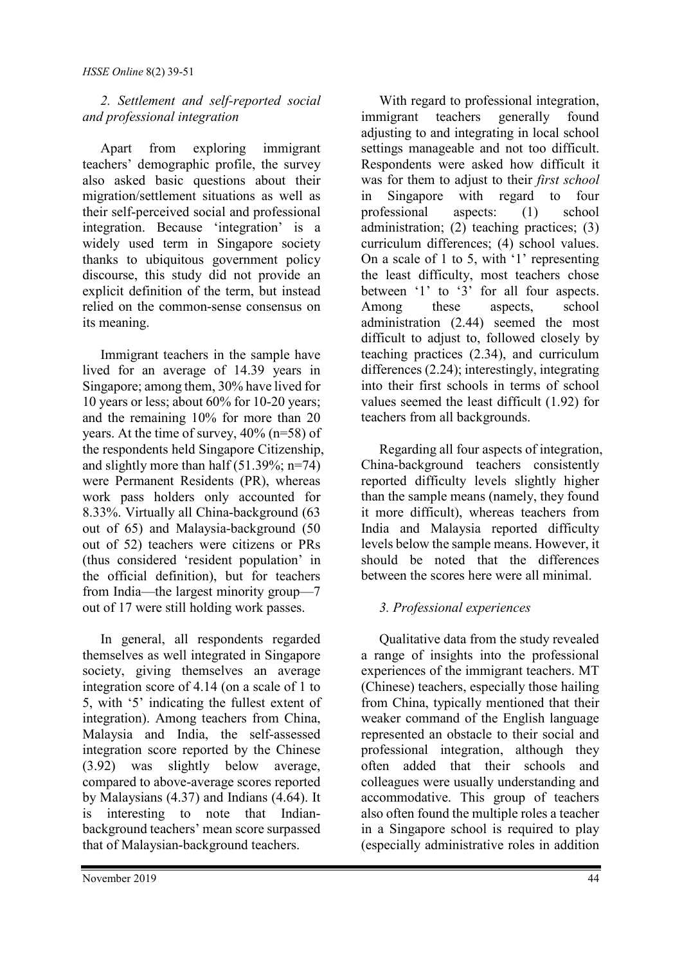## *2. Settlement and self-reported social and professional integration*

Apart from exploring immigrant teachers' demographic profile, the survey also asked basic questions about their migration/settlement situations as well as their self-perceived social and professional integration. Because 'integration' is a widely used term in Singapore society thanks to ubiquitous government policy discourse, this study did not provide an explicit definition of the term, but instead relied on the common-sense consensus on its meaning.

Immigrant teachers in the sample have lived for an average of 14.39 years in Singapore; among them, 30% have lived for 10 years or less; about 60% for 10-20 years; and the remaining 10% for more than 20 years. At the time of survey, 40% (n=58) of the respondents held Singapore Citizenship, and slightly more than half (51.39%; n=74) were Permanent Residents (PR), whereas work pass holders only accounted for 8.33%. Virtually all China-background (63 out of 65) and Malaysia-background (50 out of 52) teachers were citizens or PRs (thus considered 'resident population' in the official definition), but for teachers from India—the largest minority group—7 out of 17 were still holding work passes.

In general, all respondents regarded themselves as well integrated in Singapore society, giving themselves an average integration score of 4.14 (on a scale of 1 to 5, with '5' indicating the fullest extent of integration). Among teachers from China, Malaysia and India, the self-assessed integration score reported by the Chinese (3.92) was slightly below average, compared to above-average scores reported by Malaysians (4.37) and Indians (4.64). It is interesting to note that Indianbackground teachers' mean score surpassed that of Malaysian-background teachers.

With regard to professional integration, immigrant teachers generally found adjusting to and integrating in local school settings manageable and not too difficult. Respondents were asked how difficult it was for them to adjust to their *first school* in Singapore with regard to four professional aspects: (1) school administration; (2) teaching practices; (3) curriculum differences; (4) school values. On a scale of 1 to 5, with '1' representing the least difficulty, most teachers chose between '1' to '3' for all four aspects. Among these aspects, school administration (2.44) seemed the most difficult to adjust to, followed closely by teaching practices (2.34), and curriculum differences (2.24); interestingly, integrating into their first schools in terms of school values seemed the least difficult (1.92) for teachers from all backgrounds.

Regarding all four aspects of integration, China-background teachers consistently reported difficulty levels slightly higher than the sample means (namely, they found it more difficult), whereas teachers from India and Malaysia reported difficulty levels below the sample means. However, it should be noted that the differences between the scores here were all minimal.

## *3. Professional experiences*

Qualitative data from the study revealed a range of insights into the professional experiences of the immigrant teachers. MT (Chinese) teachers, especially those hailing from China, typically mentioned that their weaker command of the English language represented an obstacle to their social and professional integration, although they often added that their schools and colleagues were usually understanding and accommodative. This group of teachers also often found the multiple roles a teacher in a Singapore school is required to play (especially administrative roles in addition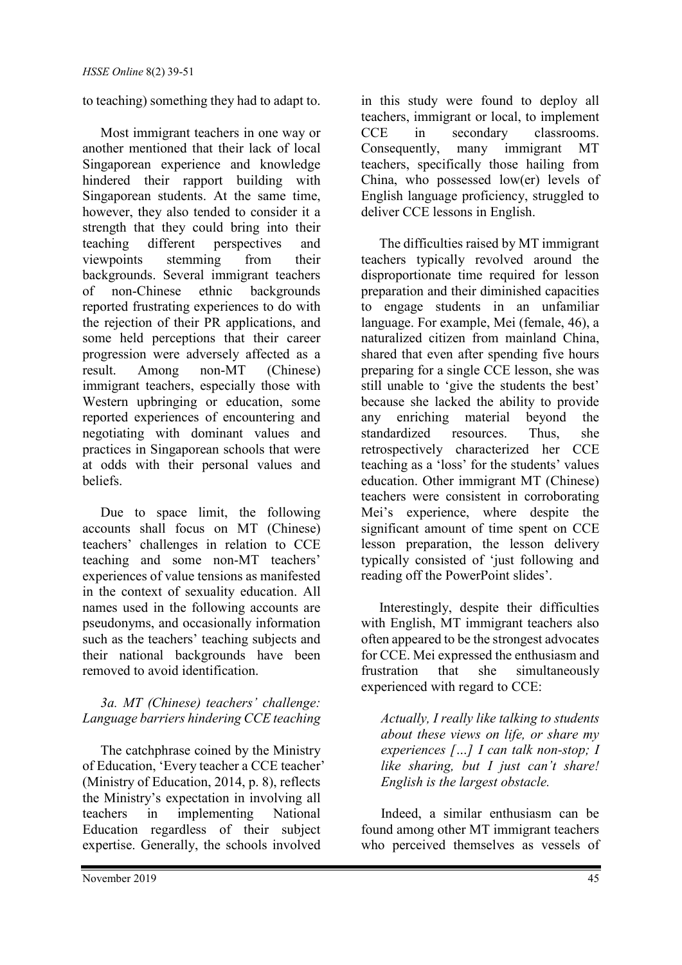to teaching) something they had to adapt to.

Most immigrant teachers in one way or another mentioned that their lack of local Singaporean experience and knowledge hindered their rapport building with Singaporean students. At the same time, however, they also tended to consider it a strength that they could bring into their teaching different perspectives and<br>viewpoints stemming from their viewpoints stemming from their backgrounds. Several immigrant teachers of non-Chinese ethnic backgrounds reported frustrating experiences to do with the rejection of their PR applications, and some held perceptions that their career progression were adversely affected as a result. Among non-MT (Chinese) immigrant teachers, especially those with Western upbringing or education, some reported experiences of encountering and negotiating with dominant values and practices in Singaporean schools that were at odds with their personal values and beliefs.

Due to space limit, the following accounts shall focus on MT (Chinese) teachers' challenges in relation to CCE teaching and some non-MT teachers' experiences of value tensions as manifested in the context of sexuality education. All names used in the following accounts are pseudonyms, and occasionally information such as the teachers' teaching subjects and their national backgrounds have been removed to avoid identification.

## *3a. MT (Chinese) teachers' challenge: Language barriers hindering CCE teaching*

The catchphrase coined by the Ministry of Education, 'Every teacher a CCE teacher' (Ministry of Education, 2014, p. 8), reflects the Ministry's expectation in involving all teachers in implementing National Education regardless of their subject expertise. Generally, the schools involved

in this study were found to deploy all teachers, immigrant or local, to implement CCE in secondary classrooms.<br>Consequently, many immigrant MT Consequently, many immigrant MT teachers, specifically those hailing from China, who possessed low(er) levels of English language proficiency, struggled to deliver CCE lessons in English.

The difficulties raised by MT immigrant teachers typically revolved around the disproportionate time required for lesson preparation and their diminished capacities to engage students in an unfamiliar language. For example, Mei (female, 46), a naturalized citizen from mainland China, shared that even after spending five hours preparing for a single CCE lesson, she was still unable to 'give the students the best' because she lacked the ability to provide any enriching material beyond the standardized resources. Thus, she retrospectively characterized her CCE teaching as a 'loss' for the students' values education. Other immigrant MT (Chinese) teachers were consistent in corroborating Mei's experience, where despite the significant amount of time spent on CCE lesson preparation, the lesson delivery typically consisted of 'just following and reading off the PowerPoint slides'.

Interestingly, despite their difficulties with English, MT immigrant teachers also often appeared to be the strongest advocates for CCE. Mei expressed the enthusiasm and frustration that she simultaneously experienced with regard to CCE:

*Actually, I really like talking to students about these views on life, or share my experiences […] I can talk non-stop; I like sharing, but I just can't share! English is the largest obstacle.*

Indeed, a similar enthusiasm can be found among other MT immigrant teachers who perceived themselves as vessels of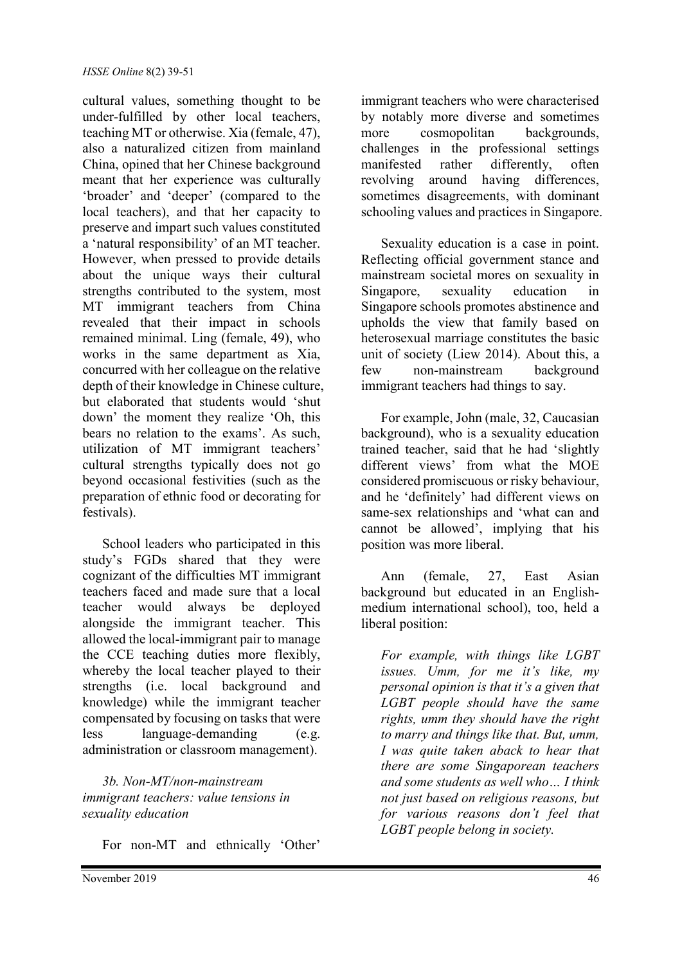cultural values, something thought to be under-fulfilled by other local teachers, teaching MT or otherwise. Xia (female, 47), also a naturalized citizen from mainland China, opined that her Chinese background meant that her experience was culturally 'broader' and 'deeper' (compared to the local teachers), and that her capacity to preserve and impart such values constituted a 'natural responsibility' of an MT teacher. However, when pressed to provide details about the unique ways their cultural strengths contributed to the system, most MT immigrant teachers from China revealed that their impact in schools remained minimal. Ling (female, 49), who works in the same department as Xia, concurred with her colleague on the relative depth of their knowledge in Chinese culture, but elaborated that students would 'shut down' the moment they realize 'Oh, this bears no relation to the exams'. As such, utilization of MT immigrant teachers' cultural strengths typically does not go beyond occasional festivities (such as the preparation of ethnic food or decorating for festivals).

School leaders who participated in this study's FGDs shared that they were cognizant of the difficulties MT immigrant teachers faced and made sure that a local teacher would always be deployed alongside the immigrant teacher. This allowed the local-immigrant pair to manage the CCE teaching duties more flexibly, whereby the local teacher played to their strengths (i.e. local background and knowledge) while the immigrant teacher compensated by focusing on tasks that were less language-demanding (e.g. administration or classroom management).

*3b. Non-MT/non-mainstream immigrant teachers: value tensions in sexuality education*

For non-MT and ethnically 'Other'

immigrant teachers who were characterised by notably more diverse and sometimes more cosmopolitan backgrounds, challenges in the professional settings manifested rather differently, often revolving around having differences, sometimes disagreements, with dominant schooling values and practices in Singapore.

Sexuality education is a case in point. Reflecting official government stance and mainstream societal mores on sexuality in Singapore, sexuality education in Singapore schools promotes abstinence and upholds the view that family based on heterosexual marriage constitutes the basic unit of society (Liew 2014). About this, a few non-mainstream background immigrant teachers had things to say.

For example, John (male, 32, Caucasian background), who is a sexuality education trained teacher, said that he had 'slightly different views' from what the MOE considered promiscuous or risky behaviour, and he 'definitely' had different views on same-sex relationships and 'what can and cannot be allowed', implying that his position was more liberal.

Ann (female, 27, East Asian background but educated in an Englishmedium international school), too, held a liberal position:

*For example, with things like LGBT issues. Umm, for me it's like, my personal opinion is that it's a given that LGBT people should have the same rights, umm they should have the right to marry and things like that. But, umm, I was quite taken aback to hear that there are some Singaporean teachers and some students as well who… I think not just based on religious reasons, but for various reasons don't feel that LGBT people belong in society.*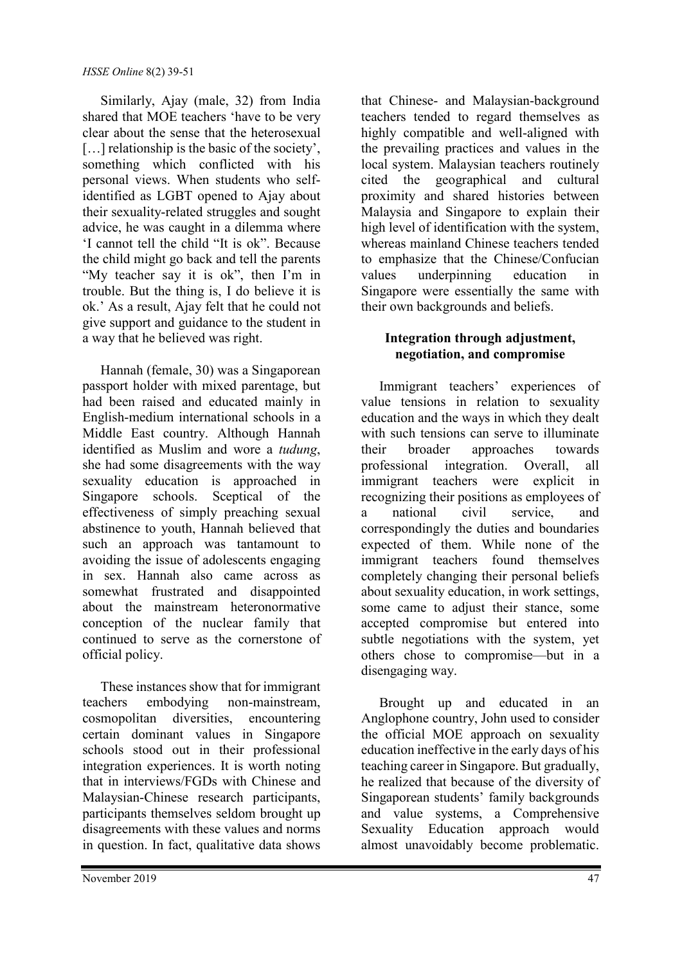Similarly, Ajay (male, 32) from India shared that MOE teachers 'have to be very clear about the sense that the heterosexual [...] relationship is the basic of the society', something which conflicted with his personal views. When students who selfidentified as LGBT opened to Ajay about their sexuality-related struggles and sought advice, he was caught in a dilemma where 'I cannot tell the child "It is ok". Because the child might go back and tell the parents "My teacher say it is ok", then I'm in trouble. But the thing is, I do believe it is ok.' As a result, Ajay felt that he could not give support and guidance to the student in a way that he believed was right.

Hannah (female, 30) was a Singaporean passport holder with mixed parentage, but had been raised and educated mainly in English-medium international schools in a Middle East country. Although Hannah identified as Muslim and wore a *tudung*, she had some disagreements with the way sexuality education is approached in Singapore schools. Sceptical of the effectiveness of simply preaching sexual abstinence to youth, Hannah believed that such an approach was tantamount to avoiding the issue of adolescents engaging in sex. Hannah also came across as somewhat frustrated and disappointed about the mainstream heteronormative conception of the nuclear family that continued to serve as the cornerstone of official policy.

These instances show that for immigrant teachers embodying non-mainstream, cosmopolitan diversities, encountering certain dominant values in Singapore schools stood out in their professional integration experiences. It is worth noting that in interviews/FGDs with Chinese and Malaysian-Chinese research participants, participants themselves seldom brought up disagreements with these values and norms in question. In fact, qualitative data shows

that Chinese- and Malaysian-background teachers tended to regard themselves as highly compatible and well-aligned with the prevailing practices and values in the local system. Malaysian teachers routinely cited the geographical and cultural proximity and shared histories between Malaysia and Singapore to explain their high level of identification with the system, whereas mainland Chinese teachers tended to emphasize that the Chinese/Confucian values underpinning education in Singapore were essentially the same with their own backgrounds and beliefs.

## **Integration through adjustment, negotiation, and compromise**

Immigrant teachers' experiences of value tensions in relation to sexuality education and the ways in which they dealt with such tensions can serve to illuminate their broader approaches towards professional integration. Overall, all immigrant teachers were explicit in recognizing their positions as employees of a national civil service, and correspondingly the duties and boundaries expected of them. While none of the immigrant teachers found themselves completely changing their personal beliefs about sexuality education, in work settings, some came to adjust their stance, some accepted compromise but entered into subtle negotiations with the system, yet others chose to compromise—but in a disengaging way.

Brought up and educated in an Anglophone country, John used to consider the official MOE approach on sexuality education ineffective in the early days of his teaching career in Singapore. But gradually, he realized that because of the diversity of Singaporean students' family backgrounds and value systems, a Comprehensive Sexuality Education approach would almost unavoidably become problematic.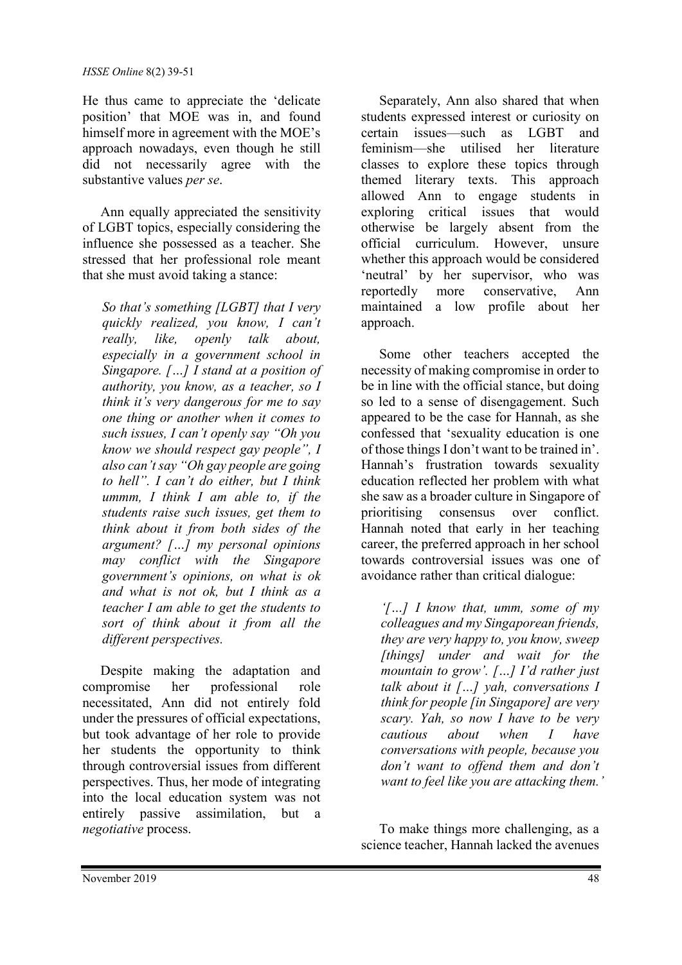He thus came to appreciate the 'delicate position' that MOE was in, and found himself more in agreement with the MOE's approach nowadays, even though he still did not necessarily agree with the substantive values *per se*.

Ann equally appreciated the sensitivity of LGBT topics, especially considering the influence she possessed as a teacher. She stressed that her professional role meant that she must avoid taking a stance:

*So that's something [LGBT] that I very quickly realized, you know, I can't really, like, openly talk about, especially in a government school in Singapore. […] I stand at a position of authority, you know, as a teacher, so I think it's very dangerous for me to say one thing or another when it comes to such issues, I can't openly say "Oh you know we should respect gay people", I also can't say "Oh gay people are going to hell". I can't do either, but I think ummm, I think I am able to, if the students raise such issues, get them to think about it from both sides of the argument? […] my personal opinions may conflict with the Singapore government's opinions, on what is ok and what is not ok, but I think as a teacher I am able to get the students to sort of think about it from all the different perspectives.*

Despite making the adaptation and compromise her professional role necessitated, Ann did not entirely fold under the pressures of official expectations, but took advantage of her role to provide her students the opportunity to think through controversial issues from different perspectives. Thus, her mode of integrating into the local education system was not entirely passive assimilation, but a *negotiative* process.

Separately, Ann also shared that when students expressed interest or curiosity on certain issues—such as LGBT and feminism—she utilised her literature classes to explore these topics through themed literary texts. This approach allowed Ann to engage students in exploring critical issues that would otherwise be largely absent from the official curriculum. However, unsure whether this approach would be considered 'neutral' by her supervisor, who was reportedly more conservative, Ann maintained a low profile about her approach.

Some other teachers accepted the necessity of making compromise in order to be in line with the official stance, but doing so led to a sense of disengagement. Such appeared to be the case for Hannah, as she confessed that 'sexuality education is one of those things I don't want to be trained in'. Hannah's frustration towards sexuality education reflected her problem with what she saw as a broader culture in Singapore of prioritising consensus over conflict. Hannah noted that early in her teaching career, the preferred approach in her school towards controversial issues was one of avoidance rather than critical dialogue:

*'[…] I know that, umm, some of my colleagues and my Singaporean friends, they are very happy to, you know, sweep [things] under and wait for the mountain to grow'. […] I'd rather just talk about it […] yah, conversations I think for people [in Singapore] are very scary. Yah, so now I have to be very cautious about when I have conversations with people, because you don't want to offend them and don't want to feel like you are attacking them.'* 

To make things more challenging, as a science teacher, Hannah lacked the avenues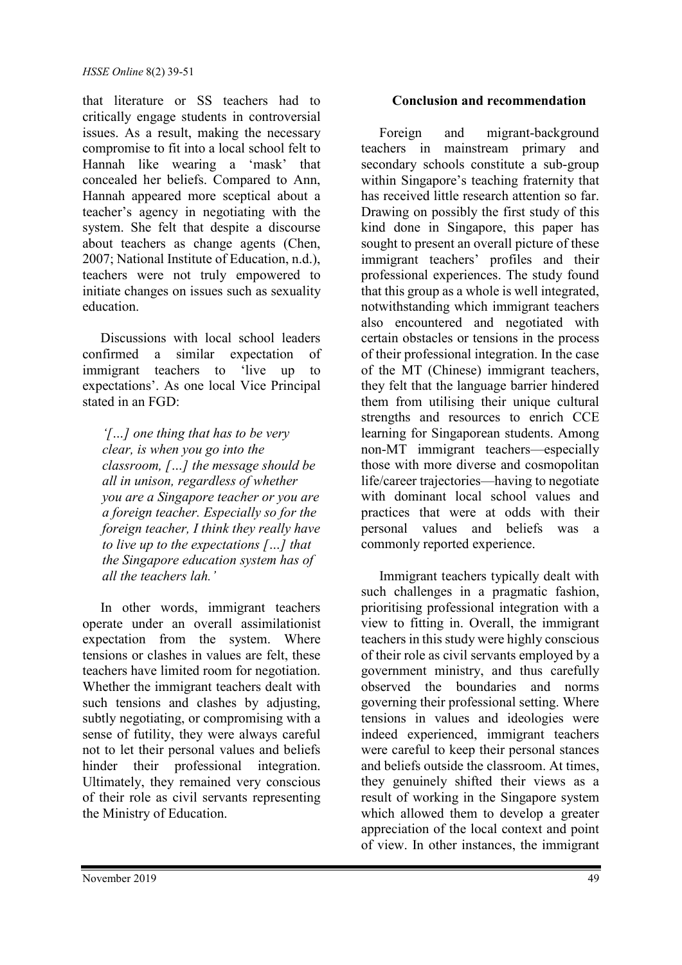that literature or SS teachers had to critically engage students in controversial issues. As a result, making the necessary compromise to fit into a local school felt to Hannah like wearing a 'mask' that concealed her beliefs. Compared to Ann, Hannah appeared more sceptical about a teacher's agency in negotiating with the system. She felt that despite a discourse about teachers as change agents (Chen, 2007; National Institute of Education, n.d.), teachers were not truly empowered to initiate changes on issues such as sexuality education.

Discussions with local school leaders confirmed a similar expectation of immigrant teachers to 'live up to expectations'. As one local Vice Principal stated in an FGD:

*'[…] one thing that has to be very clear, is when you go into the classroom, […] the message should be all in unison, regardless of whether you are a Singapore teacher or you are a foreign teacher. Especially so for the foreign teacher, I think they really have to live up to the expectations […] that the Singapore education system has of all the teachers lah.'*

In other words, immigrant teachers operate under an overall assimilationist expectation from the system. Where tensions or clashes in values are felt, these teachers have limited room for negotiation. Whether the immigrant teachers dealt with such tensions and clashes by adjusting, subtly negotiating, or compromising with a sense of futility, they were always careful not to let their personal values and beliefs hinder their professional integration. Ultimately, they remained very conscious of their role as civil servants representing the Ministry of Education.

## **Conclusion and recommendation**

Foreign and migrant-background teachers in mainstream primary and secondary schools constitute a sub-group within Singapore's teaching fraternity that has received little research attention so far. Drawing on possibly the first study of this kind done in Singapore, this paper has sought to present an overall picture of these immigrant teachers' profiles and their professional experiences. The study found that this group as a whole is well integrated, notwithstanding which immigrant teachers also encountered and negotiated with certain obstacles or tensions in the process of their professional integration. In the case of the MT (Chinese) immigrant teachers, they felt that the language barrier hindered them from utilising their unique cultural strengths and resources to enrich CCE learning for Singaporean students. Among non-MT immigrant teachers—especially those with more diverse and cosmopolitan life/career trajectories—having to negotiate with dominant local school values and practices that were at odds with their personal values and beliefs was a commonly reported experience.

Immigrant teachers typically dealt with such challenges in a pragmatic fashion, prioritising professional integration with a view to fitting in. Overall, the immigrant teachers in this study were highly conscious of their role as civil servants employed by a government ministry, and thus carefully observed the boundaries and norms governing their professional setting. Where tensions in values and ideologies were indeed experienced, immigrant teachers were careful to keep their personal stances and beliefs outside the classroom. At times, they genuinely shifted their views as a result of working in the Singapore system which allowed them to develop a greater appreciation of the local context and point of view. In other instances, the immigrant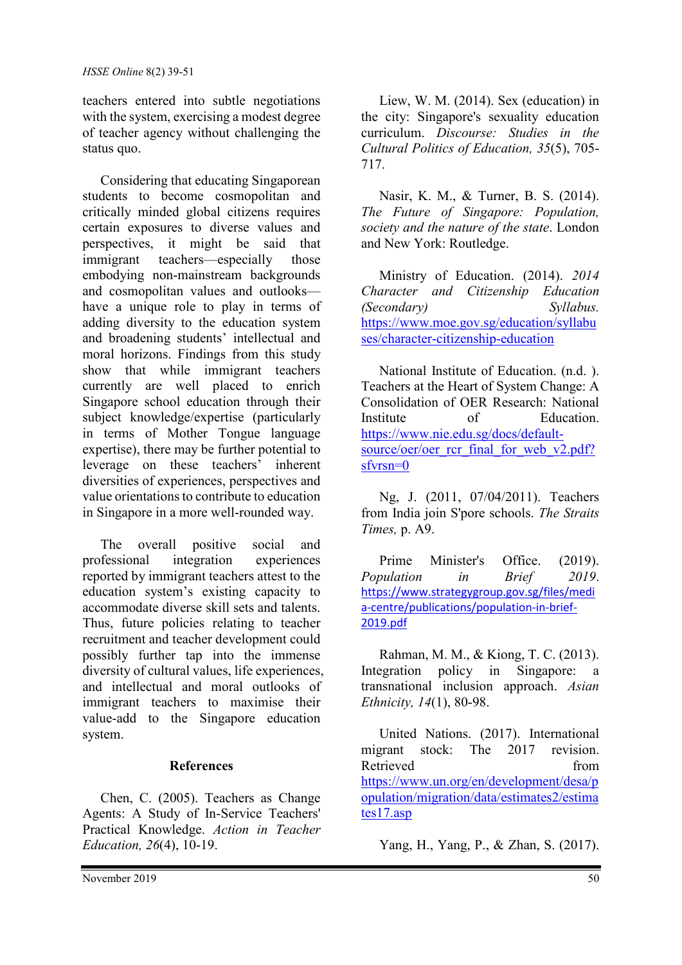teachers entered into subtle negotiations with the system, exercising a modest degree of teacher agency without challenging the status quo.

Considering that educating Singaporean students to become cosmopolitan and critically minded global citizens requires certain exposures to diverse values and perspectives, it might be said that immigrant teachers—especially those embodying non-mainstream backgrounds and cosmopolitan values and outlooks have a unique role to play in terms of adding diversity to the education system and broadening students' intellectual and moral horizons. Findings from this study show that while immigrant teachers currently are well placed to enrich Singapore school education through their subject knowledge/expertise (particularly in terms of Mother Tongue language expertise), there may be further potential to leverage on these teachers' inherent diversities of experiences, perspectives and value orientations to contribute to education in Singapore in a more well-rounded way.

The overall positive social and professional integration experiences reported by immigrant teachers attest to the education system's existing capacity to accommodate diverse skill sets and talents. Thus, future policies relating to teacher recruitment and teacher development could possibly further tap into the immense diversity of cultural values, life experiences, and intellectual and moral outlooks of immigrant teachers to maximise their value-add to the Singapore education system.

#### **References**

Chen, C. (2005). Teachers as Change Agents: A Study of In-Service Teachers' Practical Knowledge. *Action in Teacher Education, 26*(4), 10-19.

Liew, W. M. (2014). Sex (education) in the city: Singapore's sexuality education curriculum. *Discourse: Studies in the Cultural Politics of Education, 35*(5), 705- 717.

Nasir, K. M., & Turner, B. S. (2014). *The Future of Singapore: Population, society and the nature of the state*. London and New York: Routledge.

Ministry of Education. (2014). *2014 Character and Citizenship Education (Secondary) Syllabus.*  [https://www.moe.gov.sg/education/syllabu](https://www.moe.gov.sg/education/syllabuses/character-citizenship-education) [ses/character-citizenship-education](https://www.moe.gov.sg/education/syllabuses/character-citizenship-education)

National Institute of Education. (n.d. ). Teachers at the Heart of System Change: A Consolidation of OER Research: National Institute of Education. [https://www.nie.edu.sg/docs/default](https://www.nie.edu.sg/docs/default-source/oer/oer_rcr_final_for_web_v2.pdf?sfvrsn=0)source/oer/oer rcr\_final\_for\_web\_v2.pdf? [sfvrsn=0](https://www.nie.edu.sg/docs/default-source/oer/oer_rcr_final_for_web_v2.pdf?sfvrsn=0)

Ng, J. (2011, 07/04/2011). Teachers from India join S'pore schools. *The Straits Times,* p. A9.

Prime Minister's Office. (2019). *Population in Brief 2019*. [https://www.strategygroup.gov.sg/files/medi](https://www.strategygroup.gov.sg/files/media-centre/publications/population-in-brief-2019.pdf) [a-centre/publications/population-in-brief-](https://www.strategygroup.gov.sg/files/media-centre/publications/population-in-brief-2019.pdf)[2019.pdf](https://www.strategygroup.gov.sg/files/media-centre/publications/population-in-brief-2019.pdf)

Rahman, M. M., & Kiong, T. C. (2013). Integration policy in Singapore: a transnational inclusion approach. *Asian Ethnicity, 14*(1), 80-98.

United Nations. (2017). International migrant stock: The 2017 revision. Retrieved from [https://www.un.org/en/development/desa/p](https://www.un.org/en/development/desa/population/migration/data/estimates2/estimates17.asp) [opulation/migration/data/estimates2/estima](https://www.un.org/en/development/desa/population/migration/data/estimates2/estimates17.asp) [tes17.asp](https://www.un.org/en/development/desa/population/migration/data/estimates2/estimates17.asp)

Yang, H., Yang, P., & Zhan, S. (2017).